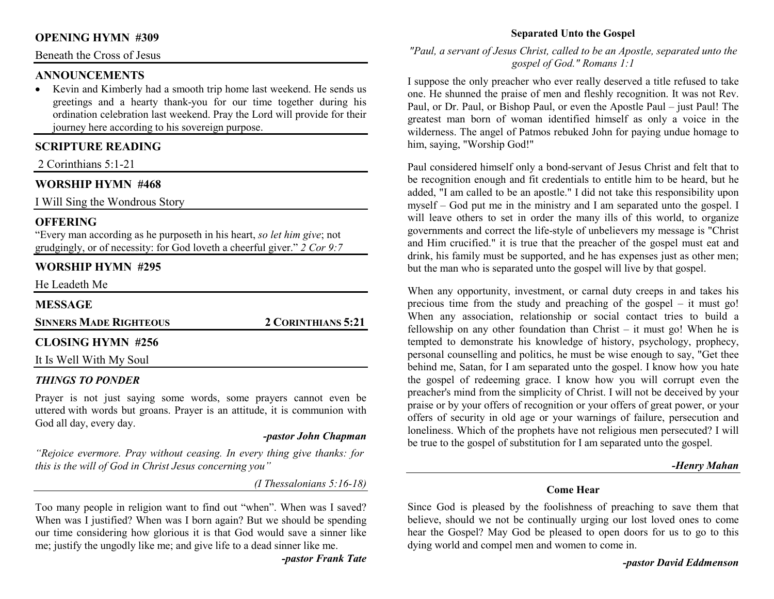## **OPENING HYMN #309**

Beneath the Cross of Jesus

## **ANNOUNCEMENTS**

 • Kevin and Kimberly had a smooth trip home last weekend. He sends us greetings and a hearty thank-you for our time together during his ordination celebration last weekend. Pray the Lord will provide for their journey here according to his sovereign purpose.

## **SCRIPTURE READING**

2 Corinthians 5:1-21

## **WORSHIP HYMN #468**

I Will Sing the Wondrous Story

## **OFFERING**

 "Every man according as he purposeth in his heart, *so let him give*; not grudgingly, or of necessity: for God loveth a cheerful giver." *2 Cor 9:7*

## **WORSHIP HYMN #295**

He Leadeth Me

#### **MESSAGE**

**SINNERS MADE RIGHTEOUS2CORINTHIANS 5:21** 

#### **CLOSING HYMN #256**

It Is Well With My Soul

#### *THINGS TO PONDER*

 Prayer is not just saying some words, some prayers cannot even be uttered with words but groans. Prayer is an attitude, it is communion with God all day, every day.

#### *-pastor John Chapman*

*"Rejoice evermore. Pray without ceasing. In every thing give thanks: for this is the will of God in Christ Jesus concerning you"* 

*(I Thessalonians 5:16-18)* 

Too many people in religion want to find out "when". When was I saved? When was I justified? When was I born again? But we should be spending our time considering how glorious it is that God would save a sinner like me; justify the ungodly like me; and give life to a dead sinner like me.

*-pastor Frank Tate* 

## **Separated Unto the Gospel**

## *"Paul, a servant of Jesus Christ, called to be an Apostle, separated unto the gospel of God." Romans 1:1*

I suppose the only preacher who ever really deserved a title refused to take one. He shunned the praise of men and fleshly recognition. It was not Rev. Paul, or Dr. Paul, or Bishop Paul, or even the Apostle Paul – just Paul! The greatest man born of woman identified himself as only a voice in the wilderness. The angel of Patmos rebuked John for paying undue homage to him, saying, "Worship God!"

Paul considered himself only a bond-servant of Jesus Christ and felt that to be recognition enough and fit credentials to entitle him to be heard, but he added, "I am called to be an apostle." I did not take this responsibility upon myself – God put me in the ministry and I am separated unto the gospel. I will leave others to set in order the many ills of this world, to organize governments and correct the life-style of unbelievers my message is "Christ and Him crucified." it is true that the preacher of the gospel must eat and drink, his family must be supported, and he has expenses just as other men; but the man who is separated unto the gospel will live by that gospel.

When any opportunity, investment, or carnal duty creeps in and takes his precious time from the study and preaching of the gospel – it must go! When any association, relationship or social contact tries to build a fellowship on any other foundation than Christ – it must go! When he is tempted to demonstrate his knowledge of history, psychology, prophecy, personal counselling and politics, he must be wise enough to say, "Get thee behind me, Satan, for I am separated unto the gospel. I know how you hate the gospel of redeeming grace. I know how you will corrupt even the preacher's mind from the simplicity of Christ. I will not be deceived by your praise or by your offers of recognition or your offers of great power, or your offers of security in old age or your warnings of failure, persecution and loneliness. Which of the prophets have not religious men persecuted? I will be true to the gospel of substitution for I am separated unto the gospel.

#### *-Henry Mahan*

#### **Come Hear**

Since God is pleased by the foolishness of preaching to save them that believe, should we not be continually urging our lost loved ones to come hear the Gospel? May God be pleased to open doors for us to go to this dying world and compel men and women to come in.

*-pastor David Eddmenson*